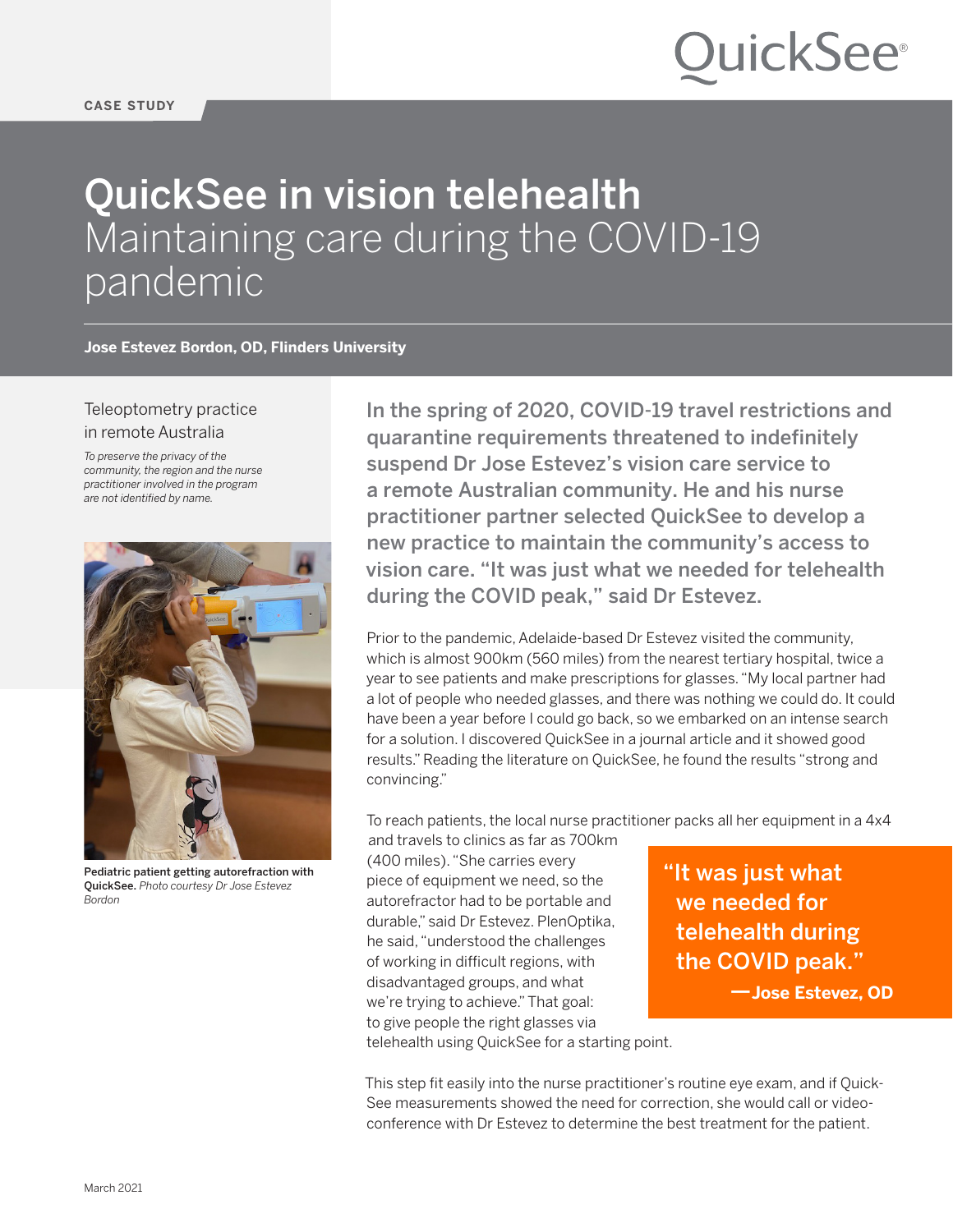#### **CASE STUDY**

# **OuickSee**®

## QuickSee in vision telehealth Maintaining care during the COVID-19 pandemic

**Jose Estevez Bordon, OD, Flinders University**

### Teleoptometry practice in remote Australia

*To preserve the privacy of the community, the region and the nurse practitioner involved in the program are not identified by name.*



Pediatric patient getting autorefraction with QuickSee. *Photo courtesy Dr Jose Estevez Bordon*

In the spring of 2020, COVID-19 travel restrictions and quarantine requirements threatened to indefinitely suspend Dr Jose Estevez's vision care service to a remote Australian community. He and his nurse practitioner partner selected QuickSee to develop a new practice to maintain the community's access to vision care. "It was just what we needed for telehealth during the COVID peak," said Dr Estevez.

Prior to the pandemic, Adelaide-based Dr Estevez visited the community, which is almost 900km (560 miles) from the nearest tertiary hospital, twice a year to see patients and make prescriptions for glasses. "My local partner had a lot of people who needed glasses, and there was nothing we could do. It could have been a year before I could go back, so we embarked on an intense search for a solution. I discovered QuickSee in a journal article and it showed good results." Reading the literature on QuickSee, he found the results "strong and convincing."

To reach patients, the local nurse practitioner packs all her equipment in a 4x4

and travels to clinics as far as 700km (400 miles). "She carries every piece of equipment we need, so the autorefractor had to be portable and durable," said Dr Estevez. PlenOptika, he said, "understood the challenges of working in difficult regions, with disadvantaged groups, and what we're trying to achieve." That goal: to give people the right glasses via

"It was just what we needed for telehealth during the COVID peak."

—**Jose Estevez, OD**

telehealth using QuickSee for a starting point.

This step fit easily into the nurse practitioner's routine eye exam, and if Quick-See measurements showed the need for correction, she would call or videoconference with Dr Estevez to determine the best treatment for the patient.